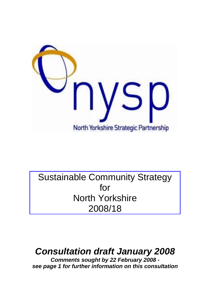

# Sustainable Community Strategy for North Yorkshire 2008/18

# *Consultation draft January 2008*

*Comments sought by 22 February 2008 see page 1 for further information on this consultation*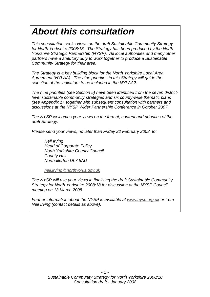# *About this consultation*

*This consultation seeks views on the draft Sustainable Community Strategy for North Yorkshire 2008/18. The Strategy has been produced by the North Yorkshire Strategic Partnership (NYSP). All local authorities and many other partners have a statutory duty to work together to produce a Sustainable Community Strategy for their area.* 

*The Strategy is a key building block for the North Yorkshire Local Area Agreement (NYLAA). The nine priorities in this Strategy will guide the selection of the indicators to be included in the NYLAA2.* 

*The nine priorities (see Section 5) have been identified from the seven districtlevel sustainable community strategies and six county-wide thematic plans (see Appendix 1), together with subsequent consultation with partners and discussions at the NYSP Wider Partnership Conference in October 2007.* 

*The NYSP welcomes your views on the format, content and priorities of the draft Strategy.* 

*Please send your views, no later than Friday 22 February 2008, to:* 

*Neil Irving Head of Corporate Policy North Yorkshire County Council County Hall Northallerton DL7 8AD* 

*[neil.irving@northyorks.gov.uk](mailto:neil.irving@northyorks.gov.uk)*

*The NYSP will use your views in finalising the draft Sustainable Community Strategy for North Yorkshire 2008/18 for discussion at the NYSP Council meeting on 13 March 2008.* 

*Further information about the NYSP is available at [www.nysp.org.uk](http://www.nysp.org.uk/) or from Neil Irving (contact details as above).*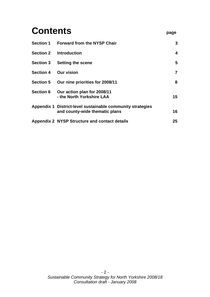| <b>Contents</b>  |                                                                                              |                 |
|------------------|----------------------------------------------------------------------------------------------|-----------------|
| <b>Section 1</b> | <b>Forward from the NYSP Chair</b>                                                           | 3               |
| <b>Section 2</b> | <b>Introduction</b>                                                                          | 4               |
| <b>Section 3</b> | <b>Setting the scene</b>                                                                     | 5               |
| <b>Section 4</b> | <b>Our vision</b>                                                                            | $\overline{7}$  |
| <b>Section 5</b> | Our nine priorities for 2008/11                                                              | 8               |
| <b>Section 6</b> | Our action plan for 2008/11<br>- the North Yorkshire LAA                                     | 15 <sub>1</sub> |
|                  | Appendix 1 District-level sustainable community strategies<br>and county-wide thematic plans | 16              |
|                  | Appendix 2 NYSP Structure and contact details                                                | 25              |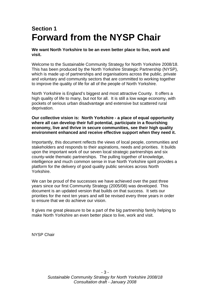# **Section 1 Forward from the NYSP Chair**

**We want North Yorkshire to be an even better place to live, work and visit.** 

Welcome to the Sustainable Community Strategy for North Yorkshire 2008/18. This has been produced by the North Yorkshire Strategic Partnership (NYSP), which is made up of partnerships and organisations across the public, private and voluntary and community sectors that are committed to working together to improve the quality of life for all of the people of North Yorkshire.

North Yorkshire is England's biggest and most attractive County. It offers a high quality of life to many, but not for all. It is still a low wage economy, with pockets of serious urban disadvantage and extensive but scattered rural deprivation.

**Our collective vision is: North Yorkshire - a place of equal opportunity where all can develop their full potential, participate in a flourishing economy, live and thrive in secure communities, see their high quality environment enhanced and receive effective support when they need it.** 

Importantly, this document reflects the views of local people, communities and stakeholders and responds to their aspirations, needs and priorities. It builds upon the important work of our seven local strategic partnerships and six county-wide thematic partnerships. The pulling together of knowledge, intelligence and much common sense in true North Yorkshire spirit provides a platform for the delivery of good quality public services across North Yorkshire.

We can be proud of the successes we have achieved over the past three years since our first Community Strategy (2005/08) was developed. This document is an updated version that builds on that success. It sets our priorities for the next ten years and will be revised every three years in order to ensure that we do achieve our vision.

It gives me great pleasure to be a part of the big partnership family helping to make North Yorkshire an even better place to live, work and visit.

NYSP Chair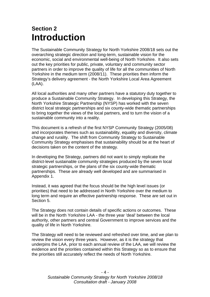# **Section 2 Introduction**

The Sustainable Community Strategy for North Yorkshire 2008/18 sets out the overarching strategic direction and long-term, sustainable vision for the economic, social and environmental well-being of North Yorkshire. It also sets out the key priorities for public, private, voluntary and community sector partners in order to improve the quality of life for all the communities of North Yorkshire in the medium term (2008/11). These priorities then inform the Strategy's delivery agreement - the North Yorkshire Local Area Agreement (LAA).

All local authorities and many other partners have a statutory duty together to produce a Sustainable Community Strategy. In developing this Strategy, the North Yorkshire Strategic Partnership (NYSP) has worked with the seven district local strategic partnerships and six county-wide thematic partnerships to bring together the views of the local partners, and to turn the vision of a sustainable community into a reality.

This document is a refresh of the first NYSP Community Strategy (2005/08) and incorporates themes such as sustainability, equality and diversity, climate change and rurality. The shift from Community Strategy to Sustainable Community Strategy emphasises that sustainability should be at the heart of decisions taken on the content of the strategy.

In developing the Strategy, partners did not want to simply replicate the district-level sustainable community strategies produced by the seven local strategic partnerships, or the plans of the six county-wide thematic partnerships. These are already well developed and are summarised in Appendix 1.

Instead, it was agreed that the focus should be the high level issues (or priorities) that need to be addressed in North Yorkshire over the medium to long term and require an effective partnership response. These are set out in Section 5.

The Strategy does not contain details of specific actions or outcomes. These will be in the North Yorkshire LAA - the three year 'deal' between the local authority, other partners and central Government to improve services and the quality of life in North Yorkshire.

The Strategy will need to be reviewed and refreshed over time, and we plan to review the vision every three years. However, as it is the strategy that underpins the LAA, prior to each annual review of the LAA, we will review the evidence and the priorities contained within this Strategy so as to ensure that the priorities still accurately reflect the needs of North Yorkshire.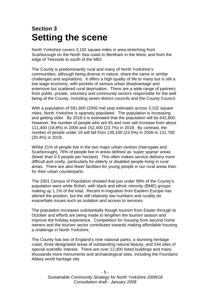# **Section 3 Setting the scene**

North Yorkshire covers 3,102 square miles in area stretching from Scarborough on the North Sea coast to Bentham in the West, and from the edge of Teesside to south of the M62.

The County is predominantly rural and many of North Yorkshire's communities, although being diverse in nature, share the same or similar challenges and aspirations. It offers a high quality of life to many but is still a low wage economy, with pockets of serious urban disadvantage and extensive but scattered rural deprivation. There are a wide range of partners from public, private, voluntary and community sectors responsible for the well being of the County, including seven district councils and the County Council.

With a population of 591,600 (2006 mid year estimate) across 3,102 square miles, North Yorkshire is sparsely populated. The population is increasing and getting older. By 2018 it is estimated that the population will be 642,800. However, the number of people who are 65 and over will increase from about 111,400 (18.8%) in 2006 and 152,400 (23.7%) in 2018. By contrast, the number of people under 19 will fall from 139,100 (23.5%) in 2006 to 131,700 (20.4%) in 2018.

Whilst 21% of people live in the two major urban centres (Harrogate and Scarborough), 76% of people live in areas defined as 'super sparse' areas (fewer than 0.5 people per hectare). This often makes service delivery more difficult and costly, particularly for elderly or disabled people living in rural areas. There are also fewer facilities for young people in our rural areas than for their urban counterparts.

The 2001 Census of Population showed that just under 99% of the County's population were white British, with black and ethnic minority (BME) groups making up 1.1% of the total. Recent in-migration from Eastern Europe has altered the position, but the still relatively low numbers and rurality do exacerbate issues such as isolation and access to services.

The population increases substantially though tourism from Easter through to October and efforts are being made to lengthen the tourism season and improve the holiday experience. Competition for housing from second home owners and the tourism sector contributes towards making affordable housing a challenge in North Yorkshire.

The County has two of England's nine national parks, a stunning heritage coast, three designated areas of outstanding natural beauty, and 244 sites of special scientific interest. There are over 12,000 listed buildings and many thousands more monuments and archaeological sites, including the Fountains Abbey world heritage site.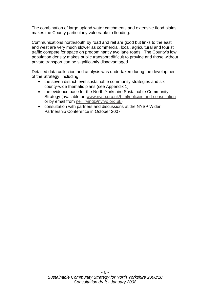The combination of large upland water catchments and extensive flood plains makes the County particularly vulnerable to flooding.

Communications north/south by road and rail are good but links to the east and west are very much slower as commercial, local, agricultural and tourist traffic compete for space on predominantly two lane roads. The County's low population density makes public transport difficult to provide and those without private transport can be significantly disadvantaged.

Detailed data collection and analysis was undertaken during the development of the Strategy, including:

- the seven district-level sustainable community strategies and six county-wide thematic plans (see Appendix 1)
- the evidence base for the North Yorkshire Sustainable Community Strategy (available on [www.nysp.org.uk/html/policies-and-consultation](http://www.nysp.org.uk/html/policies-and-consultation) or by email from [neil.irving@nyfvo.org.uk](mailto:neil.irving@nyfvo.org.uk))
- consultation with partners and discussions at the NYSP Wider Partnership Conference in October 2007.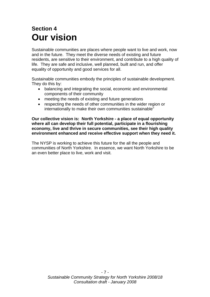# **Section 4 Our vision**

Sustainable communities are places where people want to live and work, now and in the future. They meet the diverse needs of existing and future residents, are sensitive to their environment, and contribute to a high quality of life. They are safe and inclusive, well planned, built and run, and offer equality of opportunity and good services for all.

Sustainable communities embody the principles of sustainable development. They do this by:

- balancing and integrating the social, economic and environmental components of their community
- meeting the needs of existing and future generations
- respecting the needs of other communities in the wider region or internationally to make their own communities sustainable"

**Our collective vision is: North Yorkshire - a place of equal opportunity where all can develop their full potential, participate in a flourishing economy, live and thrive in secure communities, see their high quality environment enhanced and receive effective support when they need it.** 

The NYSP is working to achieve this future for the all the people and communities of North Yorkshire. In essence, we want North Yorkshire to be an even better place to live, work and visit.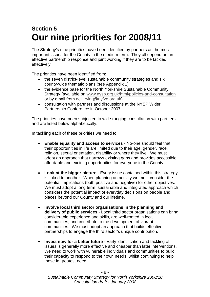# **Section 5 Our nine priorities for 2008/11**

The Strategy's nine priorities have been identified by partners as the most important issues for the County in the medium term. They all depend on an effective partnership response and joint working if they are to be tackled effectively.

The priorities have been identified from:

- the seven district-level sustainable community strategies and six county-wide thematic plans (see Appendix 1)
- the evidence base for the North Yorkshire Sustainable Community Strategy (available on [www.nysp.org.uk/html/policies-and-consultation](http://www.nysp.org.uk/html/policies-and-consultation) or by email from [neil.irving@nyfvo.org.uk](mailto:neil.irving@nyfvo.org.uk))
- consultation with partners and discussions at the NYSP Wider Partnership Conference in October 2007.

The priorities have been subjected to wide ranging consultation with partners and are listed below alphabetically.

In tackling each of these priorities we need to:

- **Enable equality and access to services** No-one should feel that their opportunities in life are limited due to their age, gender, race, religion, sexual orientation, disability or where they live. We must adopt an approach that narrows existing gaps and provides accessible, affordable and exciting opportunities for everyone in the County.
- **Look at the bigger picture** Every issue contained within this strategy is linked to another. When planning an activity we must consider the potential implications (both positive and negative) for other objectives. We must adopt a long term, sustainable and integrated approach which considers the potential impact of everyday decisions on people and places beyond our County and our lifetime.
- **Involve local third sector organisations in the planning and delivery of public services** - Local third sector organisations can bring considerable experience and skills, are well-rooted in local communities, and contribute to the development of vibrant communities. We must adopt an approach that builds effective partnerships to engage the third sector's unique contribution.
- **Invest now for a better future** Early identification and tackling of issues is generally more effective and cheaper than later interventions. We need to work with vulnerable individuals and communities to build their capacity to respond to their own needs, whilst continuing to help those in greatest need.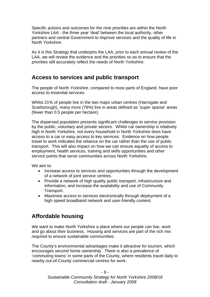Specific actions and outcomes for the nine priorities are within the North Yorkshire LAA - the three year 'deal' between the local authority, other partners and central Government to improve services and the quality of life in North Yorkshire.

As it is this Strategy that underpins the LAA, prior to each annual review of the LAA, we will review the evidence and the priorities so as to ensure that the priorities still accurately reflect the needs of North Yorkshire.

#### **Access to services and public transport**

The people of North Yorkshire, compared to most parts of England, have poor access to essential services.

Whilst 21% of people live in the two major urban centres (Harrogate and Scarborough), many more (76%) live in areas defined as 'super sparse' areas (fewer than 0.5 people per hectare).

The dispersed population presents significant challenges to service provision by the public, voluntary and private sectors. Whilst car ownership is relatively high in North Yorkshire, not every household in North Yorkshire does have access to a car or easy access to key services. Evidence on how people travel to work indicates the reliance on the car rather than the use of public transport. This will also impact on how we can ensure equality of access to employment, health services, training and skills opportunities and other service points that serve communities across North Yorkshire.

We aim to:

- Increase access to services and opportunities through the development of a network of joint service centres.
- Provide a network of high quality public transport, infrastructure and information, and increase the availability and use of Community Transport.
- Maximise access to services electronically through deployment of a high speed broadband network and user-friendly content.

## **Affordable housing**

We want to make North Yorkshire a place where our people can live, work and go about their business. Housing and services are part of the rich mix required to ensure sustainable communities.

The County's environmental advantages make it attractive for tourism, which encourages second home ownership. There is also a prevalence of 'commuting towns' in some parts of the County, where residents travel daily to nearby out-of-County commercial centres for work.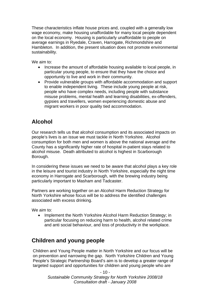These characteristics inflate house prices and, coupled with a generally low wage economy, make housing unaffordable for many local people dependent on the local economy. Housing is particularly unaffordable to people on average earnings in Ryedale, Craven, Harrogate, Richmondshire and Hambleton. In addition, the present situation does not promote environmental sustainability.

We aim to:

- Increase the amount of affordable housing available to local people, in particular young people, to ensure that they have the choice and opportunity to live and work in their community.
- Provide vulnerable groups with affordable accommodation and support to enable independent living. These include young people at risk, people who have complex needs, including people with substance misuse problems, mental health and learning disabilities, ex-offenders, gypsies and travellers, women experiencing domestic abuse and migrant workers in poor quality tied accommodation.

# **Alcohol**

Our research tells us that alcohol consumption and its associated impacts on people's lives is an issue we must tackle in North Yorkshire. Alcohol consumption for both men and women is above the national average and the County has a significantly higher rate of hospital in-patient stays related to alcohol misuse. Death attributed to alcohol is highest in Scarborough Borough.

In considering these issues we need to be aware that alcohol plays a key role in the leisure and tourist industry in North Yorkshire, especially the night time economy in Harrogate and Scarborough, with the brewing industry being particularly important to Masham and Tadcaster.

Partners are working together on an Alcohol Harm Reduction Strategy for North Yorkshire whose focus will be to address the identified challenges associated with excess drinking.

We aim to:

• Implement the North Yorkshire Alcohol Harm Reduction Strategy; in particular focusing on reducing harm to health, alcohol related crime and anti social behaviour, and loss of productivity in the workplace.

## **Children and young people**

Children and Young People matter in North Yorkshire and our focus will be on prevention and narrowing the gap. North Yorkshire Children and Young People's Strategic Partnership Board's aim is to develop a greater range of targeted support and opportunities for children and young people who are

 $-10-$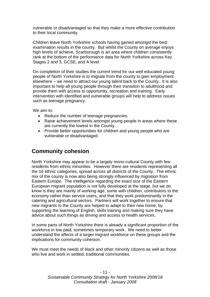vulnerable or disadvantaged so that they make a more effective contribution to their local community.

Children leave North Yorkshire schools having gained amongst the best examination results in the county. But whilst the County on average enjoys high levels of achieve, Scarborough is an area where children consistently rank at the bottom of the performance data for North Yorkshire across Key Stages 2 and 3, GCSE, and A level.

On completion of their studies the current trend for our well educated young people of North Yorkshire is to migrate from the county to gain employment elsewhere – we need to attract our young talent back to the County. It is also important to help all young people through their transition to adulthood and provide them with access to opportunity, recreation and training. Early intervention with identified and vulnerable groups will help to address issues such as teenage pregnancy.

We aim to:

- Reduce the number of teenage pregnancies.
- Raise achievement levels amongst young people in areas where these are currently the lowest in the County.
- Provide better opportunities for children and young people who are vulnerable or disadvantaged.

#### **Community cohesion**

North Yorkshire may appear to be a largely mono-cultural County with few residents from ethnic minorities. However there are residents representing all the 16 ethnic categories, spread across all districts of the County. The ethnic mix of the county is now also being strongly influenced by migration from Eastern Europe. The intelligence regarding the exact size of the Eastern European migrant population is not fully developed at the stage, but we do know is they are mainly of working age, some with children, contributors to the economy rather than service users, and that they work predominantly in the catering and agricultural sectors. Partners will work together to ensure that new migrants to the County are helped to adapt to their new home, by supporting the learning of English, skills training and making sure they have advice about such things as driving and access to health services.

In some parts of North Yorkshire there is already a significant proportion of the workforce in low paid, sometimes temporary work. We need to better understand the affects of a larger migrant workforce on these groups and the implications for community cohesion.

We must meet the needs of black and other minority citizens as well as those who live and work in settled, traditional communities.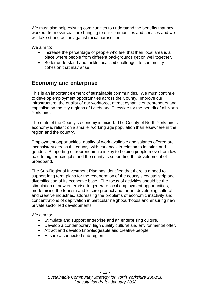We must also help existing communities to understand the benefits that new workers from overseas are bringing to our communities and services and we will take strong action against racial harassment.

We aim to:

- Increase the percentage of people who feel that their local area is a place where people from different backgrounds get on well together.
- Better understand and tackle localised challenges to community cohesion that may arise.

#### **Economy and enterprise**

This is an important element of sustainable communities. We must continue to develop employment opportunities across the County. Improve our infrastructure, the quality of our workforce, attract dynamic entrepreneurs and capitalise on the city regions of Leeds and Teesside for the benefit of all North Yorkshire.

The state of the County's economy is mixed. The County of North Yorkshire's economy is reliant on a smaller working age population than elsewhere in the region and the country.

Employment opportunities, quality of work available and salaries offered are inconsistent across the county, with variances in relation to location and gender. Supporting entrepreneurship is key to helping people move from low paid to higher paid jobs and the county is supporting the development of broadband.

The Sub-Regional Investment Plan has identified that there is a need to support long term plans for the regeneration of the county's coastal strip and diversification of its economic base. The focus of activities should be the stimulation of new enterprise to generate local employment opportunities, modernising the tourism and leisure product and further developing cultural and creative industries, addressing the problems of economic inactivity and concentrations of deprivation in particular neighbourhoods and ensuring new private sector led developments.

We aim to:

- Stimulate and support enterprise and an enterprising culture.
- Develop a contemporary, high quality cultural and environmental offer.
- Attract and develop knowledgeable and creative people.
- Ensure a connected sub-region.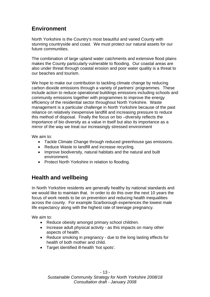## **Environment**

North Yorkshire is the Country's most beautiful and varied County with stunning countryside and coast. We must protect our natural assets for our future communities.

The combination of large upland water catchments and extensive flood plains makes the County particularly vulnerable to flooding. Our coastal areas are also under threat through coastal erosion and poor water quality is a threat to our beaches and tourism.

We hope to make our contribution to tackling climate change by reducing carbon dioxide emissions through a variety of partners' programmes. These include action to reduce operational buildings emissions including schools and community emissions together with programmes to improve the energy efficiency of the residential sector throughout North Yorkshire. Waste management is a particular challenge in North Yorkshire because of the past reliance on relatively inexpensive landfill and increasing pressure to reduce this method of disposal. Finally the focus on bio –diversity reflects the importance of bio diversity as a value in itself but also its importance as a mirror of the way we treat our increasingly stressed environment

We aim to:

- Tackle Climate Change through reduced greenhouse gas emissions.
- Reduce Waste to landfill and increase recycling.
- Improve biodiversity, natural habitats and the natural and built environment.
- Protect North Yorkshire in relation to flooding.

## **Health and wellbeing**

In North Yorkshire residents are generally healthy by national standards and we would like to maintain that. In order to do this over the next 10 years the focus of work needs to be on prevention and reducing health inequalities across the county. For example Scarborough experiences the lowest male life expectancy along with the highest rate of teenage pregnancy.

We aim to:

- Reduce obesity amongst primary school children.
- Increase adult physical activity as this impacts on many other aspects of health.
- Reduce smoking in pregnancy due to the long lasting effects for health of both mother and child.
- Target identified ill-health 'hot spots'.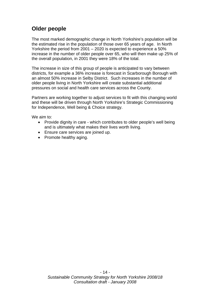### **Older people**

The most marked demographic change in North Yorkshire's population will be the estimated rise in the population of those over 65 years of age. In North Yorkshire the period from 2001 – 2020 is expected to experience a 50% increase in the number of older people over 65, who will then make up 25% of the overall population, in 2001 they were 18% of the total.

The increase in size of this group of people is anticipated to vary between districts, for example a 36% increase is forecast in Scarborough Borough with an almost 50% increase in Selby District. Such increases in the number of older people living in North Yorkshire will create substantial additional pressures on social and health care services across the County.

Partners are working together to adjust services to fit with this changing world and these will be driven through North Yorkshire's Strategic Commissioning for Independence, Well being & Choice strategy.

We aim to:

- Provide dignity in care which contributes to older people's well being and is ultimately what makes their lives worth living.
- Ensure care services are joined up.
- Promote healthy aging.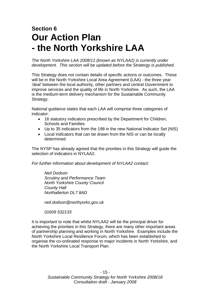# **Section 6 Our Action Plan - the North Yorkshire LAA**

*The North Yorkshire LAA 2008/11 (known as NYLAA2) is currently under development. This section will be updated before the Stratergy is published.* 

This Strategy does not contain details of specific actions or outcomes. These will be in the North Yorkshire Local Area Agreement (LAA) - the three year 'deal' between the local authority, other partners and central Government to improve services and the quality of life in North Yorkshire. As such, the LAA is the medium-term delivery mechanism for the Sustainable Community Strategy.

National guidance states that each LAA will comprise three categories of indicator:

- 16 statutory indicators prescribed by the Department for Children, Schools and Families
- Up to 35 indicators from the 198 in the new National Indicator Set (NIS)
- Local indicators that can be drawn from the NIS or can be locally determined

The NYSP has already agreed that the priorities in this Strategy will guide the selection of indicators in NYLAA2.

*For further information about development of NYLAA2 contact:* 

*Neil Dodson Scrutiny and Performance Team North Yorkshire County Council County Hall Northallerton DL7 8AD* 

*neil.dodson@northyorks.gov.uk* 

 *01609 532133* 

It is important to note that whilst NYLAA2 will be the principal driver for achieving the priorities in this Strategy, there are many other important areas of partnership planning and working in North Yorkshire. Examples include the North Yorkshire Local Resilience Forum, which has been established to organise the co-ordinated response to major incidents in North Yorkshire, and the North Yorkshire Local Transport Plan.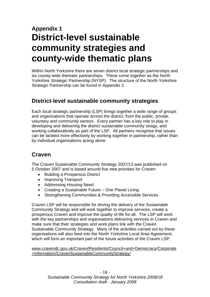# **Appendix 1 District-level sustainable community strategies and county-wide thematic plans**

Within North Yorkshire there are seven district local strategic partnerships and six county-wide thematic partnerships. These come together as the North Yorkshire Strategic Partnership (NYSP). The structure of the North Yorkshire Strategic Partnership can be found in Appendix 2.

#### **District-level sustainable community strategies**

Each local strategic partnership (LSP) brings together a wide range of groups and organisations that operate across the district, from the public, private, voluntary and community sectors. Every partner has a key role to play in developing and delivering the district sustainable community stragy, and working collaboratively as part of the LSP. All partners recognise that issues can be tackled more effectively by working together in partnership, rather than by individual organisations acting alone.

#### **Craven**

The Craven Sustainable Community Strategy 2007/13 was published on 5 October 2007 and is based around five new priorities for Craven:

- Building a Prosperous District
- Improving Transport
- Addressing Housing Need
- Creating a Sustainable Future One Planet Living
- Strengthening Communities & Providing Accessible Services

Craven LSP will be responsible for driving the delivery of the Sustainable Community Strategy and will work together to improve services, create a prosperous Craven and improve the quality of life for all. The LSP will work with the key partnerships and organisations delivering services in Craven and make sure that their strategies and work plans link with the Craven Sustainable Community Strategy. Many of the activities carried out by these organisations will also feed into the North Yorkshire Local Area Agreement, which will form an important part of the future activities of the Craven LSP.

[www.cravendc.gov.uk/Craven/Residents/Council+and+Democracy/Corporate](http://www.cravendc.gov.uk/Craven/Residents/Council+and+Democracy/Corporate+Information/CravenSustainableCommunityStrategy/) [+Information/CravenSustainableCommunityStrategy/](http://www.cravendc.gov.uk/Craven/Residents/Council+and+Democracy/Corporate+Information/CravenSustainableCommunityStrategy/)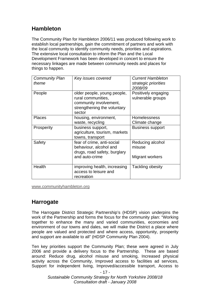### **Hambleton**

The Community Plan for Hambleton 2006/11 was produced following work to establish local partnerships, gain the commitment of partners and work with the local community to identify community needs, priorities and aspirations. The extensive local consultation to inform the Plan and the Local Development Framework has been developed in concert to ensure the necessary linkages are made between community needs and places for things to happen.

| <b>Community Plan</b><br>theme | Key issues covered                                                                                                   | <b>Current Hambleton</b><br>strategic priorities<br><i>2008/09</i> |
|--------------------------------|----------------------------------------------------------------------------------------------------------------------|--------------------------------------------------------------------|
| People                         | older people, young people,<br>rural communities,<br>community involvement,<br>strengthening the voluntary<br>sector | Positively engaging<br>vulnerable groups                           |
| <b>Places</b>                  | housing, environment,<br>waste, recycling                                                                            | <b>Homelessness</b><br>Climate change                              |
| Prosperity                     | business support,<br>agriculture, tourism, markets<br>towns, transport                                               | <b>Business support</b>                                            |
| Safety                         | fear of crime, anti-social<br>behaviour, alcohol and<br>drugs, road safety, burglary<br>and auto-crime               | Reducing alcohol<br>misuse<br>Migrant workers                      |
|                                |                                                                                                                      |                                                                    |
| Health                         | improving health, increasing<br>access to leisure and<br>recreation                                                  | Tackling obesity                                                   |

[www.communityhambleton.org](http://www.communityhambleton.orggov.uk/community/planning/partnership.htm)

#### **Harrogate**

The Harrogate District Strategic Partnership's (HDSP) vision underpins the work of the Partnership and forms the focus for the community plan: "Working together to enhance the many and varied communities, economies and environment of our towns and dales, we will make the District a place where people are valued and protected and where access, opportunity, prosperity and support are available to all" (HDSP Community Plan 2004).

Ten key priorities support the Community Plan; these were agreed in July 2006 and provide a delivery focus to the Partnership. These are based around: Reduce drug, alcohol misuse and smoking, Increased physical activity across the Community, Improved access to facilities ad services, Support for independent living, Improved/accessible transport, Access to

- 17 -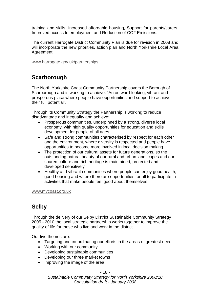training and skills, Increased affordable housing, Support for parents/carers, Improved access to employment and Reduction of CO2 Emissions.

The current Harrogate District Community Plan is due for revision in 2008 and will incorporate the new priorities, action plan and North Yorkshire Local Area Agreement.

[www.harrogate.gov.uk/partnerships](http://www.harrogate.gov.uk/partnerships)

## **Scarborough**

The North Yorkshire Coast Community Partnership covers the Borough of Scarborough and is working to achieve: "An outward-looking, vibrant and prosperous place where people have opportunities and support to achieve their full potential".

Through its Community Strategy the Partnership is working to reduce disadvantage and inequality and achieve:

- Prosperous communities, underpinned by a strong, diverse local economy, with high quality opportunities for education and skills development for people of all ages
- Safe and strong communities characterised by respect for each other and the environment, where diversity is respected and people have opportunities to become more involved in local decision making
- The protection of our cultural assets for future generations, so the outstanding natural beauty of our rural and urban landscapes and our shared culture and rich heritage is maintained, protected and developed sensitively
- Healthy and vibrant communities where people can enjoy good health, good housing and where there are opportunities for all to participate in activities that make people feel good about themselves

[www.mycoast.org.uk](http://www.mycoast.org.uk/)

#### **Selby**

Through the delivery of our Selby District Sustainable Community Strategy 2005 - 2010 the local strategic partnership works together to improve the quality of life for those who live and work in the district.

Our five themes are:

- Targeting and co-ordinating our efforts in the areas of greatest need
- Working with our community
- Developing sustainable communities
- Developing our three market towns
- Improving the image of the area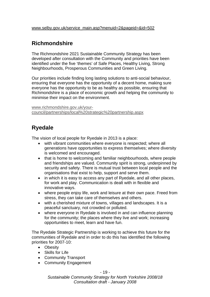## **Richmondshire**

The Richmondshire 2021 Sustainable Community Strategy has been developed after consultation with the Community and priorities have been identified under the five 'themes' of Safe Places, Healthy Living, Strong Neighbourhoods, Prosperous Communities and Green Living.

Our priorities include finding long lasting solutions to anti-social behaviour, ensuring that everyone has the opportunity of a decent home, making sure everyone has the opportunity to be as healthy as possible, ensuring that Richmondshire is a place of economic growth and helping the community to minimise their impact on the environment.

[www.richmondshire.gov.uk/your](http://www.richmondshire.gov.uk/your-council/partnerships/local strategic partnership.aspx)[council/partnerships/local%20strategic%20partnership.aspx](http://www.richmondshire.gov.uk/your-council/partnerships/local strategic partnership.aspx)

### **Ryedale**

The vision of local people for Ryedale in 2013 is a place:

- with vibrant communities where everyone is respected; where all generations have opportunities to express themselves; where diversity is welcomed and encouraged.
- that is home to welcoming and familiar neighbourhoods, where people and friendships are valued. Community spirit is strong, underpinned by security and safety. There is mutual trust between local people and the organisations that exist to help, support and serve them.
- in which it is easy to access any part of Ryedale, and all other places, for work and play. Communication is dealt with in flexible and innovative ways.
- where people enjoy life, work and leisure at their own pace. Freed from stress, they can take care of themselves and others.
- with a cherished mixture of towns, villages and landscapes. It is a peaceful sanctuary, not crowded or polluted.
- where everyone in Ryedale is involved in and can influence planning for the community; the places where they live and work; increasing opportunities to meet, learn and have fun.

The Ryedale Strategic Partnership is working to achieve this future for the communities of Ryedale and in order to do this has identified the following priorities for 2007-10:

- Obesity
- Skills for Life
- Community Transport
- Community Engagement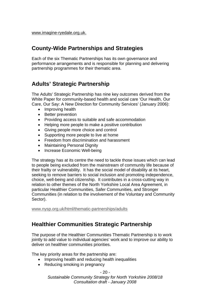### **County-Wide Partnerships and Strategies**

Each of the six Thematic Partnerships has its own governance and performance arrangements and is responsible for planning and delivering partnership programmes for their thematic area.

# **Adults' Strategic Partnership**

The Adults' Strategic Partnership has nine key outcomes derived from the White Paper for community-based health and social care 'Our Health, Our Care, Our Say: A New Direction for Community Services' (January 2006):

- Improving health
- Better prevention
- Providing access to suitable and safe accommodation
- Helping more people to make a positive contribution
- Giving people more choice and control
- Supporting more people to live at home
- Freedom from discrimination and harassment
- Maintaining Personal Dignity
- Increase Economic Well-being

The strategy has at its centre the need to tackle those issues which can lead to people being excluded from the mainstream of community life because of their frailty or vulnerability. It has the social model of disability at its heart, seeking to remove barriers to social inclusion and promoting independence, choice, well-being and citizenship. It contributes in a cross-cutting way in relation to other themes of the North Yorkshire Local Area Agreement, in particular Healthier Communities, Safer Communities, and Stronger Communities (in relation to the involvement of the Voluntary and Community Sector).

[www.nysp.org.uk/html/thematic-partnerships/adults](http://www.nysp.org.uk/html/thematic-partnerships/adults)

#### **Healthier Communities Strategic Partnership**

The purpose of the Healthier Communities Thematic Partnership is to work jointly to add value to individual agencies' work and to improve our ability to deliver on healthier communities priorities.

The key priority areas for the partnership are:

- Improving health and reducing health inequalities
- Reducing smoking in pregnancy

 $-20 -$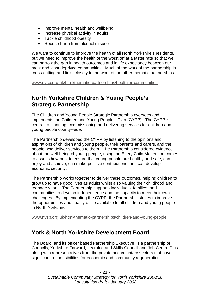- Improve mental health and wellbeing
- Increase physical activity in adults
- Tackle childhood obesity
- Reduce harm from alcohol misuse

We want to continue to improve the health of all North Yorkshire's residents, but we need to improve the health of the worst off at a faster rate so that we can narrow the gap in health outcomes and in life expectancy between our most and least deprived communities. Much of the work of the partnership is cross-cutting and links closely to the work of the other thematic partnerships.

[www.nysp.org.uk/html/thematic-partnerships/healthier-communities](http://www.nysp.org.uk/html/thematic-partnerships/healthier-communities)

#### **North Yorkshire Children & Young People's Strategic Partnership**

The Children and Young People Strategic Partnership oversees and implements the Children and Young People's Plan (CYPP). The CYPP is central to planning, commissioning and delivering services for children and young people county-wide.

The Partnership developed the CYPP by listening to the opinions and aspirations of children and young people, their parents and carers, and the people who deliver services to them. The Partnership considered evidence about the well-being of young people, using the Every Child Matters outcomes to assess how best to ensure that young people are healthy and safe, can enjoy and achieve, can make positive contributions, and can develop economic security.

The Partnership works together to deliver these outcomes, helping children to grow up to have good lives as adults whilst also valuing their childhood and teenage years. The Partnership supports individuals, families, and communities to develop independence and the capacity to meet their own challenges. By implementing the CYPP, the Partnership strives to improve the opportunities and quality of life available to all children and young people in North Yorkshire.

[www.nysp.org.uk/html/thematic-partnerships/children-and-young-people](http://www.nysp.org.uk/html/thematic-partnerships/children-and-young-people)

#### **York & North Yorkshire Development Board**

The Board, and its officer based Partnership Executive, is a partnership of Councils, Yorkshire Forward, Learning and Skills Council and Job Centre Plus along with representatives from the private and voluntary sectors that have significant responsibilities for economic and community regeneration.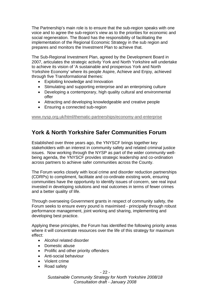The Partnership's main role is to ensure that the sub-region speaks with one voice and to agree the sub-region's view as to the priorities for economic and social regeneration. The Board has the responsibility of facilitating the implementation of the Regional Economic Strategy in the sub region and prepares and monitors the Investment Plan to achieve that.

The Sub-Regional Investment Plan, agreed by the Development Board in 2007, articulates the strategic activity York and North Yorkshire will undertake to achieve its vision of 'A sustainable and prosperous York and North Yorkshire Economy' where its people Aspire, Achieve and Enjoy, achieved through five Transformational themes:

- Exploiting knowledge and Innovation
- Stimulating and supporting enterprise and an enterprising culture
- Developing a contemporary, high quality cultural and environmental offer
- Attracting and developing knowledgeable and creative people
- Ensuring a connected sub-region

[www.nysp.org.uk/html/thematic-partnerships/economy-and-enterprise](http://www.nysp.org.uk/html/thematic-partnerships/economy-and-enterprise)

#### **York & North Yorkshire Safer Communities Forum**

Established over three years ago, the YNYSCF brings together key stakeholders with an interest in community safety and related criminal justice issues. Now working through the NYSP as part of the wider community wellbeing agenda, the YNYSCF provides strategic leadership and co-ordination across partners to achieve safer communities across the County.

The Forum works closely with local crime and disorder reduction partnerships (CDRPs) to compliment, facilitate and co-ordinate existing work, ensuring communities have the opportunity to identify issues of concern, see real input invested in developing solutions and real outcomes in terms of fewer crimes and a better quality of life.

Through overseeing Government grants in respect of community safety, the Forum seeks to ensure every pound is maximised - principally through robust performance management, joint working and sharing, implementing and developing best practice.

Applying these principles, the Forum has identified the following priority areas where it will concentrate resources over the life of this strategy for maximum effect:

- Alcohol related disorder
- Domestic abuse
- Prolific and other priority offenders
- Anti-social behaviour
- Violent crime
- Road safety

- 22 -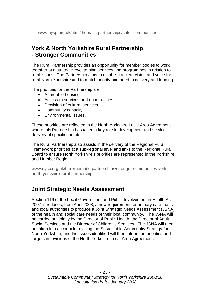#### **York & North Yorkshire Rural Partnership - Stronger Communities**

The Rural Partnership provides an opportunity for member bodies to work together at a strategic level to plan services and programmes in relation to rural issues. The Partnership aims to establish a clear vision and voice for rural North Yorkshire and to match priority and need to delivery and funding.

The priorities for the Partnership are:

- Affordable housing
- Access to services and opportunities
- Provision of cultural services
- Community capacity
- Environmental issues.

These priorities are reflected in the North Yorkshire Local Area Agreement where this Partnership has taken a key role in development and service delivery of specific targets.

The Rural Partnership also assists in the delivery of the Regional Rural Framework priorities at a sub-regional level and links to the Regional Rural Board to ensure North Yorkshire's priorities are represented in the Yorkshire and Humber Region.

[www.nysp.org.uk/html/thematic-partnerships/stronger-communities-york](http://www.nysp.org.uk/html/thematic-partnerships/stronger-communities-york-north-yorkshire-rural-partnership)[north-yorkshire-rural-partnership](http://www.nysp.org.uk/html/thematic-partnerships/stronger-communities-york-north-yorkshire-rural-partnership)

#### **Joint Strategic Needs Assessment**

Section 116 of the Local Government and Public Involvement in Health Act 2007 introduces, from April 2008, a new requirement for primary care trusts and local authorities to produce a Joint Strategic Needs Assessment (JSNA) of the health and social care needs of their local community. The JSNA will be carried out jointly by the Director of Public Health, the Director of Adult Social Services and the Director of Children's Services. The JSNA will then be taken into account in revising the Sustainable Community Strategy for North Yorkshire, and the issues identified will then inform the priorities and targets in revisions of the North Yorkshire Local Area Agreement.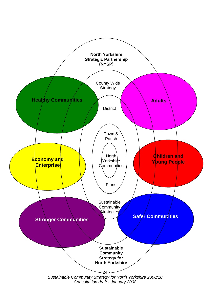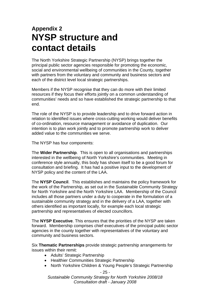# **Appendix 2 NYSP structure and contact details**

The North Yorkshire Strategic Partnership (NYSP) brings together the principal public sector agencies responsible for promoting the economic, social and environmental wellbeing of communities in the County, together with partners from the voluntary and community and business sectors and each of the district level local strategic partnerships.

Members if the NYSP recognise that they can do more with their limited resources if they focus their efforts jointly on a common understanding of communities' needs and so have established the strategic partnership to that end.

The role of the NYSP is to provide leadership and to drive forward action in relation to identified issues where cross-cutting working would deliver benefits of co-ordination, resource management or avoidance of duplication. Our intention is to plan work jointly and to promote partnership work to deliver added value to the communities we serve.

The NYSP has four components:

The **Wider Partnership**. This is open to all organisations and partnerships interested in the wellbeing of North Yorkshire's communities. Meeting in conference style annually, this body has shown itself to be a good forum for consultation and briefing. It has had a positive input to the development of NYSP policy and the content of the LAA.

The **NYSP Council**. This establishes and maintains the policy framework for the work of the Partnership, as set out in the Sustainable Community Strategy for North Yorkshire and the North Yorkshire LAA. Membership of the Council includes all those partners under a duty to cooperate in the formulation of a sustainable community strategy and in the delivery of a LAA, together with others identified as important locally, for example each local strategic partnership and representatives of elected councillors.

The **NYSP Executive**. This ensures that the priorities of the NYSP are taken forward. Membership comprises chief executives of the principal public sector agencies in the county together with representatives of the voluntary and community and business sectors.

Six **Thematic Partnerships** provide strategic partnership arrangements for issues within their remit:

- Adults' Strategic Partnership
- Healthier Communities Strategic Partnership
- North Yorkshire Children & Young People's Strategic Partnership

- 25 -